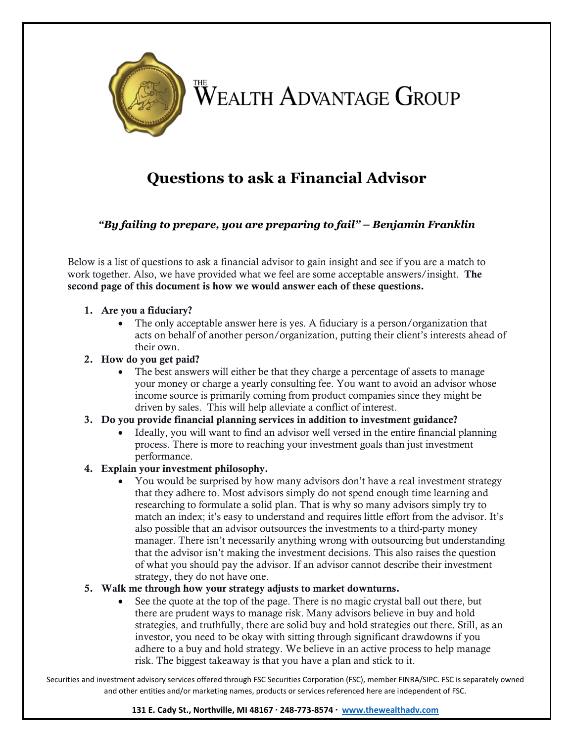

# **Questions to ask a Financial Advisor**

*"By failing to prepare, you are preparing to fail" – Benjamin Franklin*

Below is a list of questions to ask a financial advisor to gain insight and see if you are a match to work together. Also, we have provided what we feel are some acceptable answers/insight. The second page of this document is how we would answer each of these questions.

### 1. Are you a fiduciary?

• The only acceptable answer here is yes. A fiduciary is a person/organization that acts on behalf of another person/organization, putting their client's interests ahead of their own.

### 2. How do you get paid?

• The best answers will either be that they charge a percentage of assets to manage your money or charge a yearly consulting fee. You want to avoid an advisor whose income source is primarily coming from product companies since they might be driven by sales. This will help alleviate a conflict of interest.

### 3. Do you provide financial planning services in addition to investment guidance?

• Ideally, you will want to find an advisor well versed in the entire financial planning process. There is more to reaching your investment goals than just investment performance.

## 4. Explain your investment philosophy.

• You would be surprised by how many advisors don't have a real investment strategy that they adhere to. Most advisors simply do not spend enough time learning and researching to formulate a solid plan. That is why so many advisors simply try to match an index; it's easy to understand and requires little effort from the advisor. It's also possible that an advisor outsources the investments to a third-party money manager. There isn't necessarily anything wrong with outsourcing but understanding that the advisor isn't making the investment decisions. This also raises the question of what you should pay the advisor. If an advisor cannot describe their investment strategy, they do not have one.

### 5. Walk me through how your strategy adjusts to market downturns.

• See the quote at the top of the page. There is no magic crystal ball out there, but there are prudent ways to manage risk. Many advisors believe in buy and hold strategies, and truthfully, there are solid buy and hold strategies out there. Still, as an investor, you need to be okay with sitting through significant drawdowns if you adhere to a buy and hold strategy. We believe in an active process to help manage risk. The biggest takeaway is that you have a plan and stick to it.

Securities and investment advisory services offered through FSC Securities Corporation (FSC), member FINRA/SIPC. FSC is separately owned and other entities and/or marketing names, products or services referenced here are independent of FSC.

### **131 E. Cady St., Northville, MI 48167 · 248-773-8574 · [www.thewealthadv.com](http://www.thewealthadv.com/)**